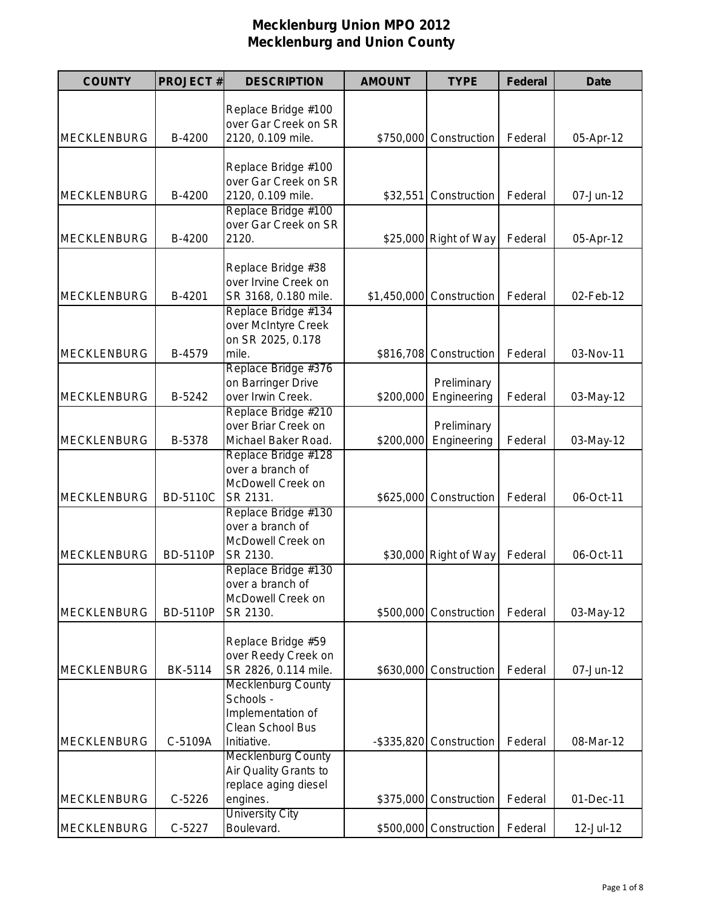| <b>COUNTY</b>      | <b>PROJECT#</b> | <b>DESCRIPTION</b>                                                                             | <b>AMOUNT</b> | <b>TYPE</b>                | <b>Federal</b> | <b>Date</b> |
|--------------------|-----------------|------------------------------------------------------------------------------------------------|---------------|----------------------------|----------------|-------------|
| MECKLENBURG        | B-4200          | Replace Bridge #100<br>over Gar Creek on SR<br>2120, 0.109 mile.                               |               | \$750,000 Construction     | Federal        | 05-Apr-12   |
| MECKLENBURG        | B-4200          | Replace Bridge #100<br>over Gar Creek on SR<br>2120, 0.109 mile.                               | \$32,551      | Construction               | Federal        | 07-Jun-12   |
| MECKLENBURG        | B-4200          | Replace Bridge #100<br>over Gar Creek on SR<br>2120.                                           |               | \$25,000 Right of Way      | Federal        | 05-Apr-12   |
| MECKLENBURG        | B-4201          | Replace Bridge #38<br>over Irvine Creek on<br>SR 3168, 0.180 mile.<br>Replace Bridge #134      |               | \$1,450,000 Construction   | Federal        | 02-Feb-12   |
| MECKLENBURG        | B-4579          | over McIntyre Creek<br>on SR 2025, 0.178<br>mile.<br>Replace Bridge #376                       |               | \$816,708 Construction     | Federal        | 03-Nov-11   |
| <b>MECKLENBURG</b> | B-5242          | on Barringer Drive<br>over Irwin Creek.                                                        | \$200,000     | Preliminary<br>Engineering | Federal        | 03-May-12   |
| <b>MECKLENBURG</b> | B-5378          | Replace Bridge #210<br>over Briar Creek on<br>Michael Baker Road.                              | \$200,000     | Preliminary<br>Engineering | Federal        | 03-May-12   |
| <b>MECKLENBURG</b> | <b>BD-5110C</b> | Replace Bridge #128<br>over a branch of<br>McDowell Creek on<br>SR 2131.                       |               | \$625,000 Construction     | Federal        | 06-Oct-11   |
| <b>MECKLENBURG</b> | <b>BD-5110P</b> | Replace Bridge #130<br>over a branch of<br>McDowell Creek on<br>SR 2130.                       |               | \$30,000 Right of Way      | Federal        | 06-Oct-11   |
| MECKLENBURG        | <b>BD-5110P</b> | Replace Bridge #130<br>over a branch of<br>McDowell Creek on<br>SR 2130.                       |               | \$500,000 Construction     | Federal        | 03-May-12   |
| MECKLENBURG        | BK-5114         | Replace Bridge #59<br>over Reedy Creek on<br>SR 2826, 0.114 mile.                              | \$630,000     | Construction               | Federal        | 07-Jun-12   |
| MECKLENBURG        | C-5109A         | <b>Mecklenburg County</b><br>Schools -<br>Implementation of<br>Clean School Bus<br>Initiative. |               | -\$335,820 Construction    | Federal        | 08-Mar-12   |
| <b>MECKLENBURG</b> | C-5226          | <b>Mecklenburg County</b><br>Air Quality Grants to<br>replace aging diesel<br>engines.         |               | \$375,000 Construction     | Federal        | 01-Dec-11   |
| <b>MECKLENBURG</b> | C-5227          | <b>University City</b><br>Boulevard.                                                           |               | \$500,000 Construction     | Federal        | 12-Jul-12   |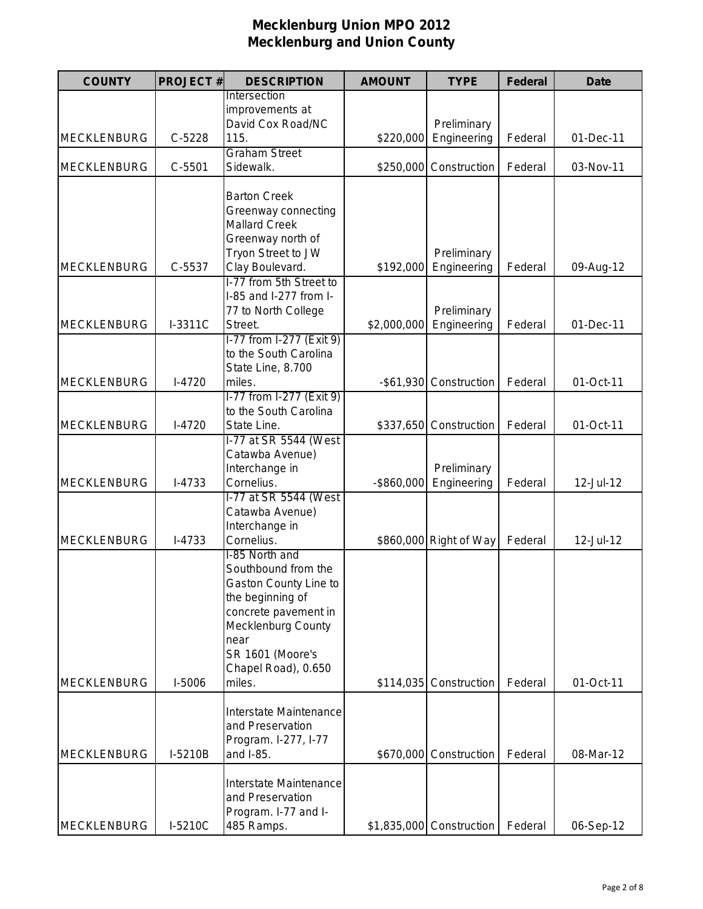| <b>COUNTY</b>                                                  | <b>PROJECT#</b>                | <b>DESCRIPTION</b>                                                                                                                                                                                                                                                                                                                                                            | <b>AMOUNT</b> | <b>TYPE</b>                                                        | <b>Federal</b>                | <b>Date</b>            |
|----------------------------------------------------------------|--------------------------------|-------------------------------------------------------------------------------------------------------------------------------------------------------------------------------------------------------------------------------------------------------------------------------------------------------------------------------------------------------------------------------|---------------|--------------------------------------------------------------------|-------------------------------|------------------------|
|                                                                |                                | Intersection                                                                                                                                                                                                                                                                                                                                                                  |               |                                                                    |                               |                        |
|                                                                |                                | improvements at                                                                                                                                                                                                                                                                                                                                                               |               |                                                                    |                               |                        |
| <b>MECKLENBURG</b>                                             | $C-5228$                       | David Cox Road/NC<br>115.                                                                                                                                                                                                                                                                                                                                                     | \$220,000     | Preliminary<br>Engineering                                         | Federal                       | 01-Dec-11              |
|                                                                |                                | <b>Graham Street</b>                                                                                                                                                                                                                                                                                                                                                          |               |                                                                    |                               |                        |
| <b>MECKLENBURG</b>                                             | C-5501                         | Sidewalk.                                                                                                                                                                                                                                                                                                                                                                     | \$250,000     | Construction                                                       | Federal                       | 03-Nov-11              |
|                                                                |                                |                                                                                                                                                                                                                                                                                                                                                                               |               |                                                                    |                               |                        |
|                                                                |                                | <b>Barton Creek</b>                                                                                                                                                                                                                                                                                                                                                           |               |                                                                    |                               |                        |
|                                                                |                                | Greenway connecting                                                                                                                                                                                                                                                                                                                                                           |               |                                                                    |                               |                        |
|                                                                |                                | <b>Mallard Creek</b>                                                                                                                                                                                                                                                                                                                                                          |               |                                                                    |                               |                        |
|                                                                |                                | Greenway north of                                                                                                                                                                                                                                                                                                                                                             |               |                                                                    |                               |                        |
|                                                                |                                | Tryon Street to JW                                                                                                                                                                                                                                                                                                                                                            |               | Preliminary                                                        |                               |                        |
| <b>MECKLENBURG</b>                                             | C-5537                         | Clay Boulevard.                                                                                                                                                                                                                                                                                                                                                               | \$192,000     | Engineering                                                        | Federal                       | 09-Aug-12              |
|                                                                |                                | I-77 from 5th Street to                                                                                                                                                                                                                                                                                                                                                       |               |                                                                    |                               |                        |
|                                                                |                                | I-85 and I-277 from I-                                                                                                                                                                                                                                                                                                                                                        |               |                                                                    |                               |                        |
|                                                                |                                | 77 to North College                                                                                                                                                                                                                                                                                                                                                           |               | Preliminary                                                        |                               |                        |
| <b>MECKLENBURG</b>                                             | I-3311C                        | Street.                                                                                                                                                                                                                                                                                                                                                                       | \$2,000,000   | Engineering                                                        | Federal                       | 01-Dec-11              |
|                                                                |                                | I-77 from I-277 (Exit 9)                                                                                                                                                                                                                                                                                                                                                      |               |                                                                    |                               |                        |
|                                                                |                                | to the South Carolina                                                                                                                                                                                                                                                                                                                                                         |               |                                                                    |                               |                        |
| <b>MECKLENBURG</b>                                             | $I-4720$                       | State Line, 8.700<br>miles.                                                                                                                                                                                                                                                                                                                                                   | $-$61,930$    | Construction                                                       | Federal                       | 01-Oct-11              |
|                                                                |                                | I-77 from I-277 (Exit 9)                                                                                                                                                                                                                                                                                                                                                      |               |                                                                    |                               |                        |
|                                                                |                                | to the South Carolina                                                                                                                                                                                                                                                                                                                                                         |               |                                                                    |                               |                        |
| <b>MECKLENBURG</b>                                             | $I-4720$                       | State Line.                                                                                                                                                                                                                                                                                                                                                                   |               | \$337,650 Construction                                             | Federal                       | 01-Oct-11              |
|                                                                |                                | I-77 at SR 5544 (West                                                                                                                                                                                                                                                                                                                                                         |               |                                                                    |                               |                        |
|                                                                |                                | Catawba Avenue)                                                                                                                                                                                                                                                                                                                                                               |               |                                                                    |                               |                        |
|                                                                |                                | Interchange in                                                                                                                                                                                                                                                                                                                                                                |               | Preliminary                                                        |                               |                        |
| <b>MECKLENBURG</b>                                             | $I-4733$                       | Cornelius.                                                                                                                                                                                                                                                                                                                                                                    | $-$ \$860,000 | Engineering                                                        | Federal                       | 12-Jul-12              |
|                                                                |                                | I-77 at SR 5544 (West                                                                                                                                                                                                                                                                                                                                                         |               |                                                                    |                               |                        |
|                                                                |                                |                                                                                                                                                                                                                                                                                                                                                                               |               |                                                                    |                               |                        |
|                                                                |                                |                                                                                                                                                                                                                                                                                                                                                                               |               |                                                                    |                               |                        |
|                                                                |                                |                                                                                                                                                                                                                                                                                                                                                                               |               |                                                                    |                               |                        |
|                                                                |                                |                                                                                                                                                                                                                                                                                                                                                                               |               |                                                                    |                               |                        |
|                                                                |                                |                                                                                                                                                                                                                                                                                                                                                                               |               |                                                                    |                               |                        |
|                                                                |                                |                                                                                                                                                                                                                                                                                                                                                                               |               |                                                                    |                               |                        |
|                                                                |                                |                                                                                                                                                                                                                                                                                                                                                                               |               |                                                                    |                               |                        |
|                                                                |                                |                                                                                                                                                                                                                                                                                                                                                                               |               |                                                                    |                               |                        |
|                                                                |                                |                                                                                                                                                                                                                                                                                                                                                                               |               |                                                                    |                               |                        |
|                                                                |                                |                                                                                                                                                                                                                                                                                                                                                                               |               |                                                                    |                               |                        |
|                                                                |                                |                                                                                                                                                                                                                                                                                                                                                                               |               |                                                                    |                               |                        |
| <b>MECKLENBURG</b>                                             | I-5006                         | miles.                                                                                                                                                                                                                                                                                                                                                                        | \$114,035     | Construction                                                       | Federal                       | 01-Oct-11              |
|                                                                |                                |                                                                                                                                                                                                                                                                                                                                                                               |               |                                                                    |                               |                        |
|                                                                |                                | Interstate Maintenance                                                                                                                                                                                                                                                                                                                                                        |               |                                                                    |                               |                        |
|                                                                |                                | and Preservation                                                                                                                                                                                                                                                                                                                                                              |               |                                                                    |                               |                        |
|                                                                |                                |                                                                                                                                                                                                                                                                                                                                                                               |               |                                                                    |                               |                        |
|                                                                |                                |                                                                                                                                                                                                                                                                                                                                                                               |               |                                                                    |                               | 08-Mar-12              |
|                                                                |                                |                                                                                                                                                                                                                                                                                                                                                                               |               |                                                                    |                               |                        |
|                                                                |                                |                                                                                                                                                                                                                                                                                                                                                                               |               |                                                                    |                               |                        |
|                                                                |                                |                                                                                                                                                                                                                                                                                                                                                                               |               |                                                                    |                               |                        |
|                                                                |                                |                                                                                                                                                                                                                                                                                                                                                                               |               |                                                                    |                               |                        |
| <b>MECKLENBURG</b><br><b>MECKLENBURG</b><br><b>MECKLENBURG</b> | $I-4733$<br>I-5210B<br>I-5210C | Catawba Avenue)<br>Interchange in<br>Cornelius.<br><b>I-85 North and</b><br>Southbound from the<br>Gaston County Line to<br>the beginning of<br>concrete pavement in<br><b>Mecklenburg County</b><br>near<br>SR 1601 (Moore's<br>Chapel Road), 0.650<br>Program. I-277, I-77<br>and I-85.<br>Interstate Maintenance<br>and Preservation<br>Program. I-77 and I-<br>485 Ramps. | \$670,000     | \$860,000 Right of Way<br>Construction<br>\$1,835,000 Construction | Federal<br>Federal<br>Federal | 12-Jul-12<br>06-Sep-12 |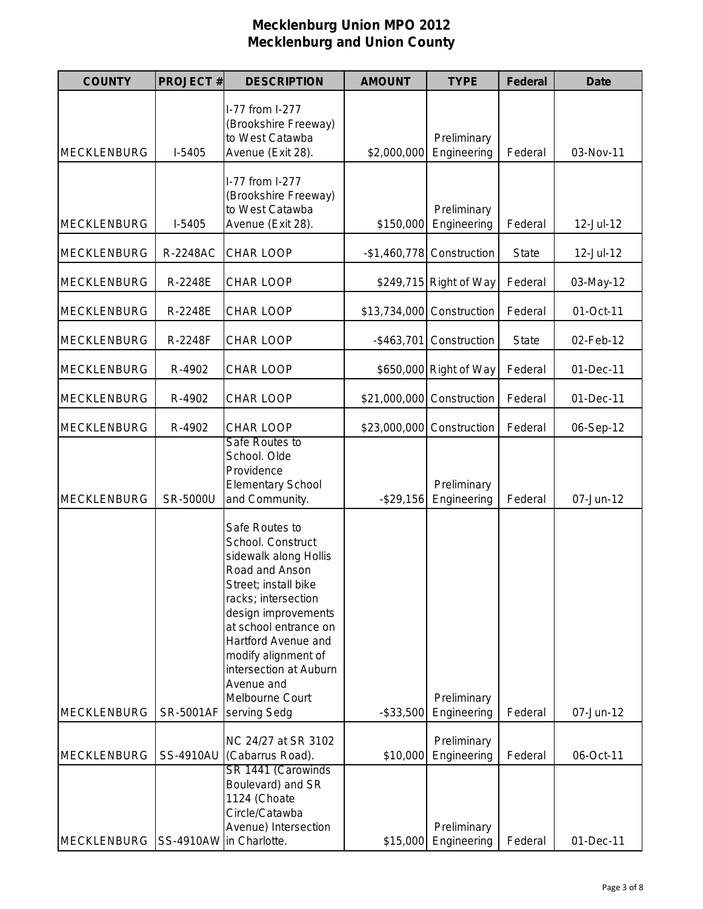| <b>COUNTY</b>                                             | <b>PROJECT#</b>  | <b>DESCRIPTION</b>                                                                                                                                                                                                                                                                                     | <b>AMOUNT</b>        | <b>TYPE</b>                               | <b>Federal</b>     | <b>Date</b>            |
|-----------------------------------------------------------|------------------|--------------------------------------------------------------------------------------------------------------------------------------------------------------------------------------------------------------------------------------------------------------------------------------------------------|----------------------|-------------------------------------------|--------------------|------------------------|
| <b>MECKLENBURG</b>                                        | I-5405           | I-77 from I-277<br>(Brookshire Freeway)<br>to West Catawba<br>Avenue (Exit 28).                                                                                                                                                                                                                        | \$2,000,000          | Preliminary<br>Engineering                | Federal            | 03-Nov-11              |
| <b>MECKLENBURG</b>                                        | I-5405           | I-77 from I-277<br>(Brookshire Freeway)<br>to West Catawba<br>Avenue (Exit 28).                                                                                                                                                                                                                        | \$150,000            | Preliminary<br>Engineering                | Federal            | 12-Jul-12              |
| <b>MECKLENBURG</b>                                        | R-2248AC         | CHAR LOOP                                                                                                                                                                                                                                                                                              |                      | -\$1,460,778 Construction                 | <b>State</b>       | 12-Jul-12              |
| <b>MECKLENBURG</b>                                        | R-2248E          | <b>CHAR LOOP</b>                                                                                                                                                                                                                                                                                       |                      | \$249,715 Right of Way                    | Federal            | 03-May-12              |
| <b>MECKLENBURG</b>                                        | R-2248E          | <b>CHAR LOOP</b>                                                                                                                                                                                                                                                                                       | \$13,734,000         | Construction                              | Federal            | 01-Oct-11              |
| <b>MECKLENBURG</b>                                        | R-2248F          | <b>CHAR LOOP</b>                                                                                                                                                                                                                                                                                       | $-$463,701$          | Construction                              | <b>State</b>       | 02-Feb-12              |
| <b>MECKLENBURG</b>                                        | R-4902           | <b>CHAR LOOP</b>                                                                                                                                                                                                                                                                                       |                      | \$650,000 Right of Way                    | Federal            | 01-Dec-11              |
| <b>MECKLENBURG</b>                                        | R-4902           | <b>CHAR LOOP</b>                                                                                                                                                                                                                                                                                       |                      | \$21,000,000 Construction                 | Federal            | 01-Dec-11              |
| <b>MECKLENBURG</b>                                        | R-4902           | <b>CHAR LOOP</b>                                                                                                                                                                                                                                                                                       | \$23,000,000         | Construction                              | Federal            | 06-Sep-12              |
| <b>MECKLENBURG</b>                                        | SR-5000U         | Safe Routes to<br>School. Olde<br>Providence<br><b>Elementary School</b><br>and Community.                                                                                                                                                                                                             | $-$29,156$           | Preliminary<br>Engineering                | Federal            | 07-Jun-12              |
| <b>MECKLENBURG</b>                                        | <b>SR-5001AF</b> | Safe Routes to<br>School. Construct<br>sidewalk along Hollis<br>Road and Anson<br>Street; install bike<br>racks; intersection<br>design improvements<br>at school entrance on<br>Hartford Avenue and<br>modify alignment of<br>intersection at Auburn<br>Avenue and<br>Melbourne Court<br>serving Sedg | $-$33,500$           | Preliminary<br>Engineering                | Federal            | 07-Jun-12              |
|                                                           |                  | NC 24/27 at SR 3102                                                                                                                                                                                                                                                                                    |                      | Preliminary                               |                    |                        |
| <b>MECKLENBURG</b><br>MECKLENBURG SS-4910AW in Charlotte. |                  | SS-4910AU (Cabarrus Road).<br>SR 1441 (Carowinds<br>Boulevard) and SR<br>1124 (Choate<br>Circle/Catawba<br>Avenue) Intersection                                                                                                                                                                        | \$10,000<br>\$15,000 | Engineering<br>Preliminary<br>Engineering | Federal<br>Federal | 06-Oct-11<br>01-Dec-11 |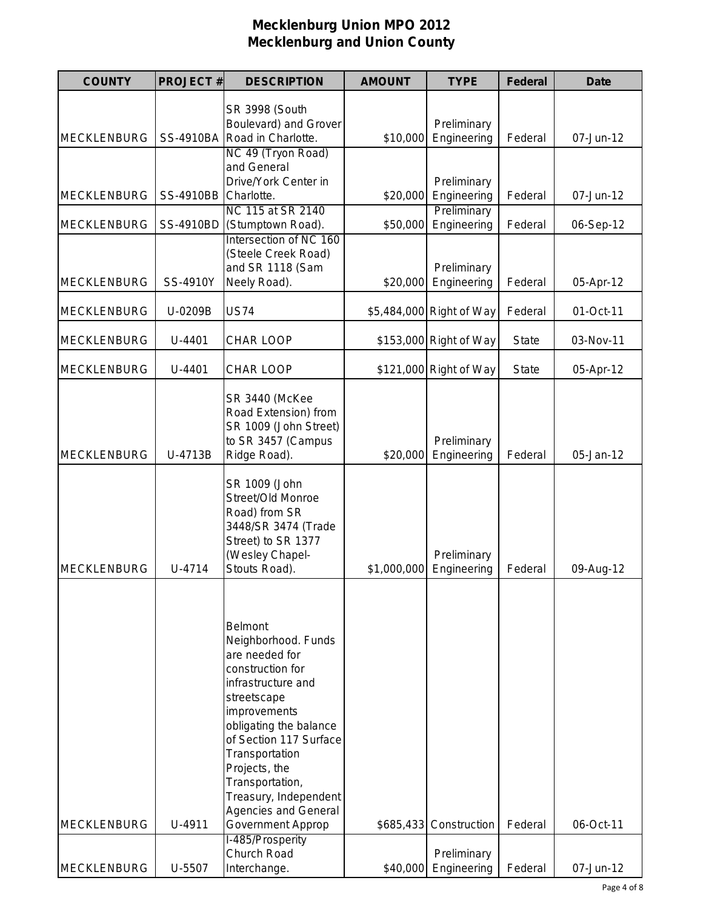| <b>COUNTY</b>      | <b>PROJECT#</b> | <b>DESCRIPTION</b>                                                                                                                                                                                                                                                                                                                          | <b>AMOUNT</b> | <b>TYPE</b>                | <b>Federal</b> | <b>Date</b> |
|--------------------|-----------------|---------------------------------------------------------------------------------------------------------------------------------------------------------------------------------------------------------------------------------------------------------------------------------------------------------------------------------------------|---------------|----------------------------|----------------|-------------|
| <b>MECKLENBURG</b> |                 | <b>SR 3998 (South</b><br>Boulevard) and Grover<br>SS-4910BA Road in Charlotte.                                                                                                                                                                                                                                                              | \$10,000      | Preliminary<br>Engineering | Federal        | 07-Jun-12   |
|                    |                 | NC 49 (Tryon Road)<br>and General<br>Drive/York Center in                                                                                                                                                                                                                                                                                   |               | Preliminary                |                |             |
| <b>MECKLENBURG</b> | SS-4910BB       | Charlotte.<br>NC 115 at SR 2140                                                                                                                                                                                                                                                                                                             | \$20,000      | Engineering<br>Preliminary | Federal        | 07-Jun-12   |
| <b>MECKLENBURG</b> | SS-4910BD       | (Stumptown Road).<br>Intersection of NC 160                                                                                                                                                                                                                                                                                                 | \$50,000      | Engineering                | Federal        | 06-Sep-12   |
| <b>MECKLENBURG</b> | SS-4910Y        | (Steele Creek Road)<br>and SR 1118 (Sam<br>Neely Road).                                                                                                                                                                                                                                                                                     | \$20,000      | Preliminary<br>Engineering | Federal        | 05-Apr-12   |
| <b>MECKLENBURG</b> | U-0209B         | <b>US74</b>                                                                                                                                                                                                                                                                                                                                 |               | \$5,484,000 Right of Way   | Federal        | 01-Oct-11   |
| <b>MECKLENBURG</b> | U-4401          | <b>CHAR LOOP</b>                                                                                                                                                                                                                                                                                                                            |               | \$153,000 Right of Way     | <b>State</b>   | 03-Nov-11   |
| <b>MECKLENBURG</b> | U-4401          | <b>CHAR LOOP</b>                                                                                                                                                                                                                                                                                                                            |               | \$121,000 Right of Way     | State          | 05-Apr-12   |
| <b>MECKLENBURG</b> | U-4713B         | <b>SR 3440 (McKee</b><br>Road Extension) from<br>SR 1009 (John Street)<br>to SR 3457 (Campus<br>Ridge Road).                                                                                                                                                                                                                                | \$20,000      | Preliminary<br>Engineering | Federal        | 05-Jan-12   |
| <b>MECKLENBURG</b> | U-4714          | SR 1009 (John<br>Street/Old Monroe<br>Road) from SR<br>3448/SR 3474 (Trade<br>Street) to SR 1377<br>(Wesley Chapel-<br>Stouts Road).                                                                                                                                                                                                        | \$1,000,000   | Preliminary<br>Engineering | Federal        | 09-Aug-12   |
| <b>MECKLENBURG</b> | U-4911          | <b>Belmont</b><br>Neighborhood. Funds<br>are needed for<br>construction for<br>infrastructure and<br>streetscape<br>improvements<br>obligating the balance<br>of Section 117 Surface<br>Transportation<br>Projects, the<br>Transportation,<br>Treasury, Independent<br><b>Agencies and General</b><br>Government Approp<br>I-485/Prosperity |               | \$685,433 Construction     | Federal        | 06-Oct-11   |
| <b>MECKLENBURG</b> | U-5507          | Church Road<br>Interchange.                                                                                                                                                                                                                                                                                                                 | \$40,000      | Preliminary<br>Engineering | Federal        | 07-Jun-12   |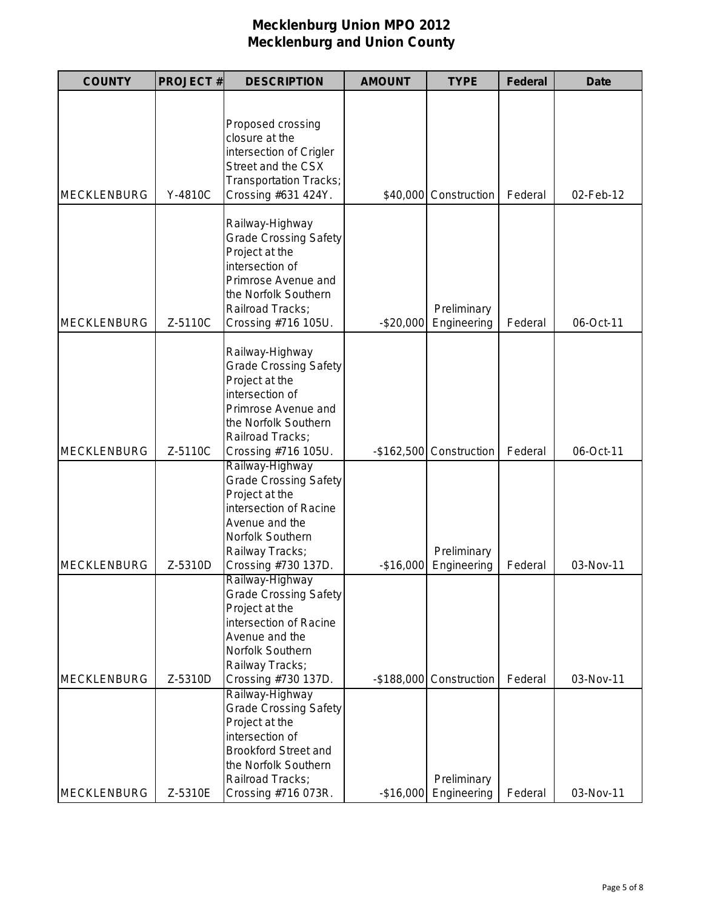| <b>COUNTY</b>      | <b>PROJECT#</b> | <b>DESCRIPTION</b>                                  | <b>AMOUNT</b> | <b>TYPE</b>             | <b>Federal</b> | <b>Date</b> |
|--------------------|-----------------|-----------------------------------------------------|---------------|-------------------------|----------------|-------------|
|                    |                 |                                                     |               |                         |                |             |
|                    |                 | Proposed crossing                                   |               |                         |                |             |
|                    |                 | closure at the                                      |               |                         |                |             |
|                    |                 | intersection of Crigler                             |               |                         |                |             |
|                    |                 | Street and the CSX<br><b>Transportation Tracks;</b> |               |                         |                |             |
| <b>MECKLENBURG</b> | Y-4810C         | Crossing #631 424Y.                                 | \$40,000      | Construction            | Federal        | 02-Feb-12   |
|                    |                 |                                                     |               |                         |                |             |
|                    |                 | Railway-Highway                                     |               |                         |                |             |
|                    |                 | <b>Grade Crossing Safety</b>                        |               |                         |                |             |
|                    |                 | Project at the<br>intersection of                   |               |                         |                |             |
|                    |                 | Primrose Avenue and                                 |               |                         |                |             |
|                    |                 | the Norfolk Southern                                |               |                         |                |             |
|                    |                 | Railroad Tracks;                                    |               | Preliminary             |                |             |
| <b>MECKLENBURG</b> | Z-5110C         | Crossing #716 105U.                                 | $-$20,000$    | Engineering             | Federal        | 06-Oct-11   |
|                    |                 | Railway-Highway                                     |               |                         |                |             |
|                    |                 | <b>Grade Crossing Safety</b>                        |               |                         |                |             |
|                    |                 | Project at the                                      |               |                         |                |             |
|                    |                 | intersection of                                     |               |                         |                |             |
|                    |                 | Primrose Avenue and<br>the Norfolk Southern         |               |                         |                |             |
|                    |                 | Railroad Tracks;                                    |               |                         |                |             |
| <b>MECKLENBURG</b> | Z-5110C         | Crossing #716 105U.                                 | $-$162,500$   | Construction            | Federal        | 06-Oct-11   |
|                    |                 | Railway-Highway                                     |               |                         |                |             |
|                    |                 | <b>Grade Crossing Safety</b>                        |               |                         |                |             |
|                    |                 | Project at the<br>intersection of Racine            |               |                         |                |             |
|                    |                 | Avenue and the                                      |               |                         |                |             |
|                    |                 | Norfolk Southern                                    |               |                         |                |             |
|                    |                 | Railway Tracks;                                     |               | Preliminary             |                |             |
| <b>MECKLENBURG</b> | Z-5310D         | Crossing #730 137D.                                 | $-$16,000$    | Engineering             | Federal        | 03-Nov-11   |
|                    |                 | Railway-Highway<br><b>Grade Crossing Safety</b>     |               |                         |                |             |
|                    |                 | Project at the                                      |               |                         |                |             |
|                    |                 | intersection of Racine                              |               |                         |                |             |
|                    |                 | Avenue and the                                      |               |                         |                |             |
|                    |                 | Norfolk Southern                                    |               |                         |                |             |
| <b>MECKLENBURG</b> | Z-5310D         | Railway Tracks;<br>Crossing #730 137D.              |               | -\$188,000 Construction | Federal        | 03-Nov-11   |
|                    |                 | Railway-Highway                                     |               |                         |                |             |
|                    |                 | <b>Grade Crossing Safety</b>                        |               |                         |                |             |
|                    |                 | Project at the                                      |               |                         |                |             |
|                    |                 | intersection of                                     |               |                         |                |             |
|                    |                 | <b>Brookford Street and</b><br>the Norfolk Southern |               |                         |                |             |
|                    |                 | Railroad Tracks;                                    |               | Preliminary             |                |             |
| <b>MECKLENBURG</b> | Z-5310E         | Crossing #716 073R.                                 | $-$16,000$    | Engineering             | Federal        | 03-Nov-11   |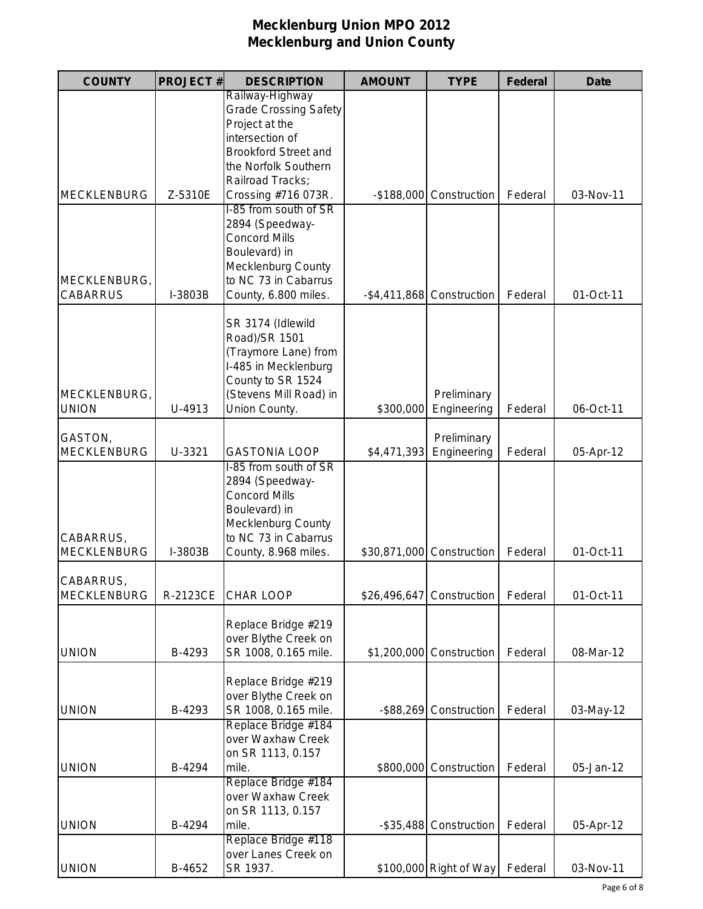| <b>COUNTY</b>      | <b>PROJECT#</b> | <b>DESCRIPTION</b>                           | <b>AMOUNT</b> | <b>TYPE</b>               | <b>Federal</b> | <b>Date</b> |
|--------------------|-----------------|----------------------------------------------|---------------|---------------------------|----------------|-------------|
|                    |                 | Railway-Highway                              |               |                           |                |             |
|                    |                 | <b>Grade Crossing Safety</b>                 |               |                           |                |             |
|                    |                 | Project at the                               |               |                           |                |             |
|                    |                 | intersection of                              |               |                           |                |             |
|                    |                 | <b>Brookford Street and</b>                  |               |                           |                |             |
|                    |                 | the Norfolk Southern                         |               |                           |                |             |
|                    |                 | Railroad Tracks;                             |               |                           |                |             |
| <b>MECKLENBURG</b> | Z-5310E         | Crossing #716 073R.<br>I-85 from south of SR | $-$188,000$   | Construction              | Federal        | 03-Nov-11   |
|                    |                 | 2894 (Speedway-                              |               |                           |                |             |
|                    |                 | <b>Concord Mills</b>                         |               |                           |                |             |
|                    |                 | Boulevard) in                                |               |                           |                |             |
|                    |                 | <b>Mecklenburg County</b>                    |               |                           |                |             |
| MECKLENBURG,       |                 | to NC 73 in Cabarrus                         |               |                           |                |             |
| <b>CABARRUS</b>    | I-3803B         | County, 6.800 miles.                         |               | -\$4,411,868 Construction | Federal        | 01-Oct-11   |
|                    |                 |                                              |               |                           |                |             |
|                    |                 | SR 3174 (Idlewild                            |               |                           |                |             |
|                    |                 | Road)/SR 1501                                |               |                           |                |             |
|                    |                 | (Traymore Lane) from                         |               |                           |                |             |
|                    |                 | I-485 in Mecklenburg                         |               |                           |                |             |
| MECKLENBURG,       |                 | County to SR 1524<br>(Stevens Mill Road) in  |               | Preliminary               |                |             |
| <b>UNION</b>       | U-4913          | Union County.                                | \$300,000     | Engineering               | Federal        | 06-Oct-11   |
|                    |                 |                                              |               |                           |                |             |
| GASTON,            |                 |                                              |               | Preliminary               |                |             |
| <b>MECKLENBURG</b> | U-3321          | <b>GASTONIA LOOP</b>                         | \$4,471,393   | Engineering               | Federal        | 05-Apr-12   |
|                    |                 | I-85 from south of SR                        |               |                           |                |             |
|                    |                 | 2894 (Speedway-                              |               |                           |                |             |
|                    |                 | <b>Concord Mills</b>                         |               |                           |                |             |
|                    |                 | Boulevard) in<br><b>Mecklenburg County</b>   |               |                           |                |             |
| CABARRUS,          |                 | to NC 73 in Cabarrus                         |               |                           |                |             |
| <b>MECKLENBURG</b> | I-3803B         | County, 8.968 miles.                         | \$30,871,000  | Construction              | Federal        | 01-Oct-11   |
|                    |                 |                                              |               |                           |                |             |
| <b>CABARRUS</b>    |                 |                                              |               |                           |                |             |
| <b>MECKLENBURG</b> | R-2123CE        | CHAR LOOP                                    | \$26,496,647  | Construction              | Federal        | 01-Oct-11   |
|                    |                 | Replace Bridge #219                          |               |                           |                |             |
|                    |                 | over Blythe Creek on                         |               |                           |                |             |
| <b>UNION</b>       | B-4293          | SR 1008, 0.165 mile.                         |               | \$1,200,000 Construction  | Federal        | 08-Mar-12   |
|                    |                 |                                              |               |                           |                |             |
|                    |                 | Replace Bridge #219                          |               |                           |                |             |
|                    |                 | over Blythe Creek on                         |               |                           |                |             |
| <b>UNION</b>       | B-4293          | SR 1008, 0.165 mile.                         | $-$ \$88,269  | Construction              | Federal        | 03-May-12   |
|                    |                 | Replace Bridge #184                          |               |                           |                |             |
|                    |                 | over Waxhaw Creek                            |               |                           |                |             |
|                    |                 | on SR 1113, 0.157                            |               |                           |                |             |
| <b>UNION</b>       | B-4294          | mile.<br>Replace Bridge #184                 | \$800,000     | Construction              | Federal        | 05-Jan-12   |
|                    |                 | over Waxhaw Creek                            |               |                           |                |             |
|                    |                 | on SR 1113, 0.157                            |               |                           |                |             |
| <b>UNION</b>       | B-4294          | mile.                                        |               | -\$35,488 Construction    | Federal        | 05-Apr-12   |
|                    |                 | Replace Bridge #118                          |               |                           |                |             |
|                    |                 | over Lanes Creek on                          |               |                           |                |             |
| <b>UNION</b>       | B-4652          | SR 1937.                                     |               | \$100,000 Right of Way    | Federal        | 03-Nov-11   |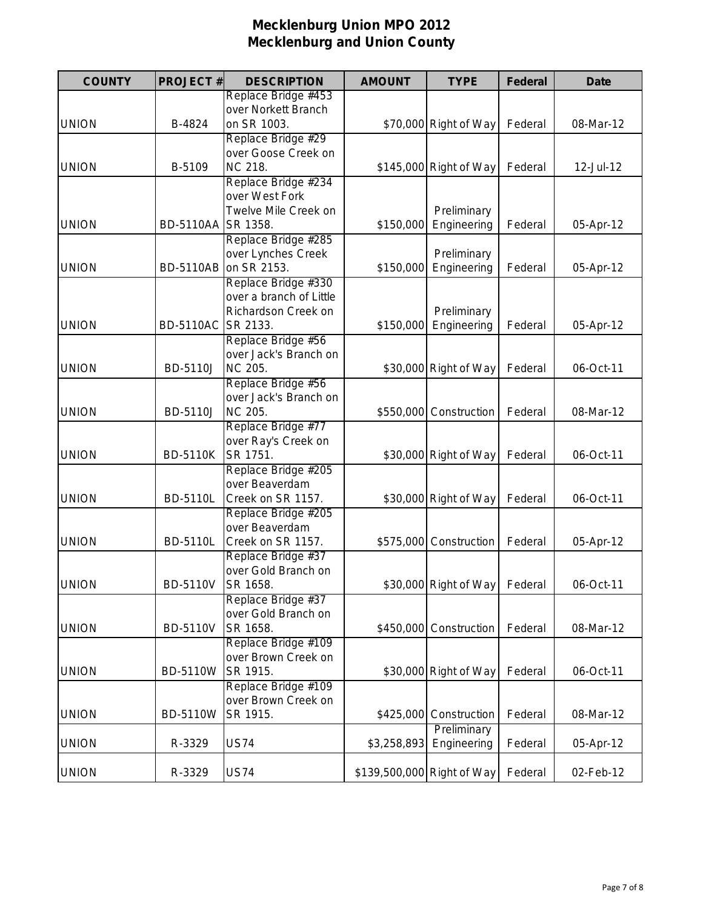| <b>COUNTY</b> | <b>PROJECT#</b>    | <b>DESCRIPTION</b>      | <b>AMOUNT</b> | <b>TYPE</b>                | <b>Federal</b> | <b>Date</b> |
|---------------|--------------------|-------------------------|---------------|----------------------------|----------------|-------------|
|               |                    | Replace Bridge #453     |               |                            |                |             |
|               |                    | over Norkett Branch     |               |                            |                |             |
| <b>UNION</b>  | B-4824             | on SR 1003.             |               | \$70,000 Right of Way      | Federal        | 08-Mar-12   |
|               |                    | Replace Bridge #29      |               |                            |                |             |
|               |                    | over Goose Creek on     |               |                            |                |             |
| <b>UNION</b>  | B-5109             | <b>NC 218.</b>          |               | \$145,000 Right of Way     | Federal        | 12-Jul-12   |
|               |                    | Replace Bridge #234     |               |                            |                |             |
|               |                    | over West Fork          |               |                            |                |             |
|               |                    | Twelve Mile Creek on    |               | Preliminary                |                |             |
| <b>UNION</b>  | BD-5110AA SR 1358. |                         | \$150,000     | Engineering                | Federal        | 05-Apr-12   |
|               |                    | Replace Bridge #285     |               |                            |                |             |
|               |                    | over Lynches Creek      |               | Preliminary                |                |             |
| <b>UNION</b>  |                    | BD-5110AB on SR 2153.   | \$150,000     | Engineering                | Federal        | 05-Apr-12   |
|               |                    | Replace Bridge #330     |               |                            |                |             |
|               |                    | over a branch of Little |               |                            |                |             |
|               |                    | Richardson Creek on     |               | Preliminary                |                |             |
| <b>UNION</b>  | BD-5110AC SR 2133. |                         | \$150,000     | Engineering                | Federal        | 05-Apr-12   |
|               |                    | Replace Bridge #56      |               |                            |                |             |
|               |                    | over Jack's Branch on   |               |                            |                |             |
| <b>UNION</b>  | <b>BD-5110J</b>    | <b>NC 205.</b>          |               | \$30,000 Right of Way      | Federal        | 06-Oct-11   |
|               |                    | Replace Bridge #56      |               |                            |                |             |
|               |                    | over Jack's Branch on   |               |                            |                |             |
| <b>UNION</b>  | <b>BD-5110J</b>    | <b>NC 205.</b>          |               | \$550,000 Construction     | Federal        | 08-Mar-12   |
|               |                    | Replace Bridge #77      |               |                            |                |             |
|               |                    | over Ray's Creek on     |               |                            |                |             |
| <b>UNION</b>  | <b>BD-5110K</b>    | SR 1751.                |               | \$30,000 Right of Way      | Federal        | 06-Oct-11   |
|               |                    | Replace Bridge #205     |               |                            |                |             |
|               |                    | over Beaverdam          |               |                            |                |             |
| <b>UNION</b>  | <b>BD-5110L</b>    | Creek on SR 1157.       |               | \$30,000 Right of Way      | Federal        | 06-Oct-11   |
|               |                    | Replace Bridge #205     |               |                            |                |             |
|               |                    | over Beaverdam          |               |                            |                |             |
| <b>UNION</b>  | <b>BD-5110L</b>    | Creek on SR 1157.       |               | \$575,000 Construction     | Federal        | 05-Apr-12   |
|               |                    | Replace Bridge #37      |               |                            |                |             |
|               |                    | over Gold Branch on     |               |                            |                |             |
| <b>UNION</b>  | <b>BD-5110V</b>    | SR 1658.                |               | \$30,000 Right of Way      | Federal        | 06-Oct-11   |
|               |                    | Replace Bridge #37      |               |                            |                |             |
|               |                    | over Gold Branch on     |               |                            |                |             |
| <b>UNION</b>  | <b>BD-5110V</b>    | SR 1658.                | \$450,000     | Construction               | Federal        | 08-Mar-12   |
|               |                    | Replace Bridge #109     |               |                            |                |             |
|               |                    | over Brown Creek on     |               |                            |                |             |
| <b>UNION</b>  | <b>BD-5110W</b>    | SR 1915.                |               | \$30,000 Right of Way      | Federal        | 06-Oct-11   |
|               |                    | Replace Bridge #109     |               |                            |                |             |
|               |                    | over Brown Creek on     |               |                            |                |             |
| <b>UNION</b>  | <b>BD-5110W</b>    | SR 1915.                |               | \$425,000 Construction     | Federal        | 08-Mar-12   |
|               |                    |                         |               | Preliminary                |                |             |
| <b>UNION</b>  | R-3329             | <b>US74</b>             | \$3,258,893   | Engineering                | Federal        | 05-Apr-12   |
|               |                    |                         |               |                            |                |             |
| <b>UNION</b>  | R-3329             | <b>US74</b>             |               | \$139,500,000 Right of Way | Federal        | 02-Feb-12   |